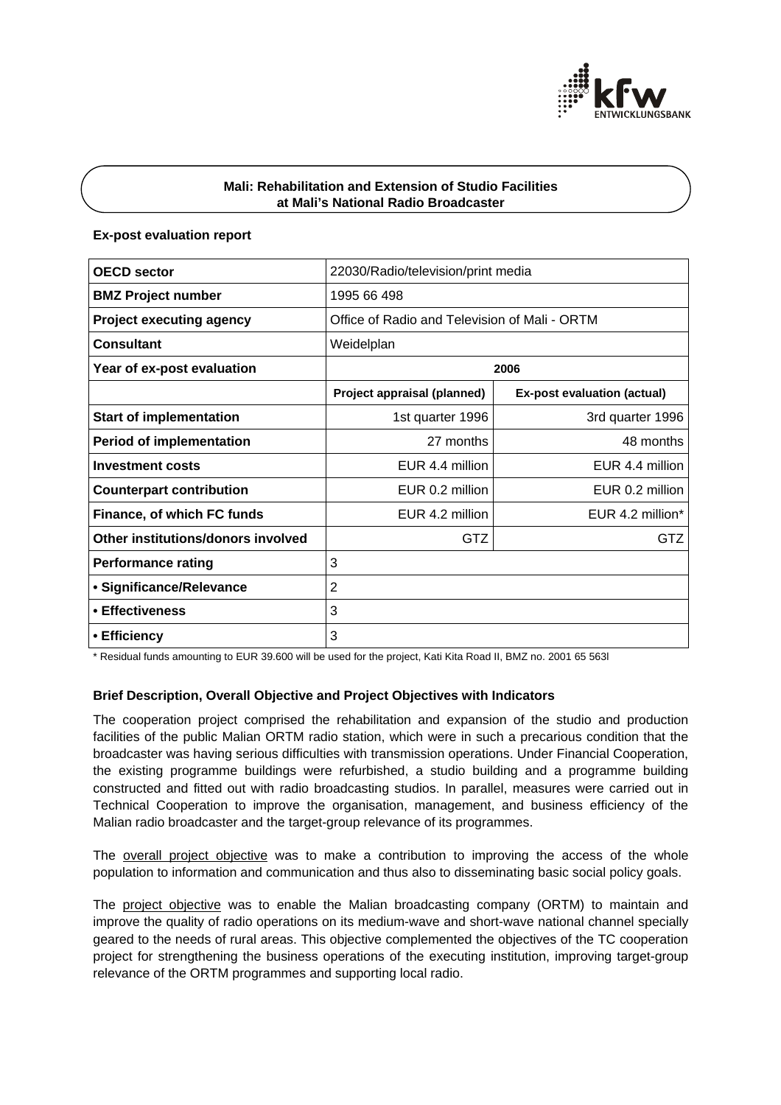

# **Mali: Rehabilitation and Extension of Studio Facilities at Mali's National Radio Broadcaster**

## **Ex-post evaluation report**

| <b>OECD sector</b>                 | 22030/Radio/television/print media            |                             |
|------------------------------------|-----------------------------------------------|-----------------------------|
| <b>BMZ Project number</b>          | 1995 66 498                                   |                             |
| <b>Project executing agency</b>    | Office of Radio and Television of Mali - ORTM |                             |
| <b>Consultant</b>                  | Weidelplan                                    |                             |
| Year of ex-post evaluation         | 2006                                          |                             |
|                                    | Project appraisal (planned)                   | Ex-post evaluation (actual) |
| <b>Start of implementation</b>     | 1st quarter 1996                              | 3rd quarter 1996            |
| <b>Period of implementation</b>    | 27 months                                     | 48 months                   |
| <b>Investment costs</b>            | FUR 4 4 million                               | EUR 4.4 million             |
| <b>Counterpart contribution</b>    | EUR 0.2 million                               | EUR 0.2 million             |
| Finance, of which FC funds         | EUR 4.2 million                               | EUR 4.2 million $*$         |
| Other institutions/donors involved | GTZ                                           | GTZ                         |
| <b>Performance rating</b>          | 3                                             |                             |
| • Significance/Relevance           | 2                                             |                             |
| • Effectiveness                    | 3                                             |                             |
| • Efficiency                       | 3                                             |                             |

\* Residual funds amounting to EUR 39.600 will be used for the project, Kati Kita Road II, BMZ no. 2001 65 563l

## **Brief Description, Overall Objective and Project Objectives with Indicators**

The cooperation project comprised the rehabilitation and expansion of the studio and production facilities of the public Malian ORTM radio station, which were in such a precarious condition that the broadcaster was having serious difficulties with transmission operations. Under Financial Cooperation, the existing programme buildings were refurbished, a studio building and a programme building constructed and fitted out with radio broadcasting studios. In parallel, measures were carried out in Technical Cooperation to improve the organisation, management, and business efficiency of the Malian radio broadcaster and the target-group relevance of its programmes.

The overall project objective was to make a contribution to improving the access of the whole population to information and communication and thus also to disseminating basic social policy goals.

The project objective was to enable the Malian broadcasting company (ORTM) to maintain and improve the quality of radio operations on its medium-wave and short-wave national channel specially geared to the needs of rural areas. This objective complemented the objectives of the TC cooperation project for strengthening the business operations of the executing institution, improving target-group relevance of the ORTM programmes and supporting local radio.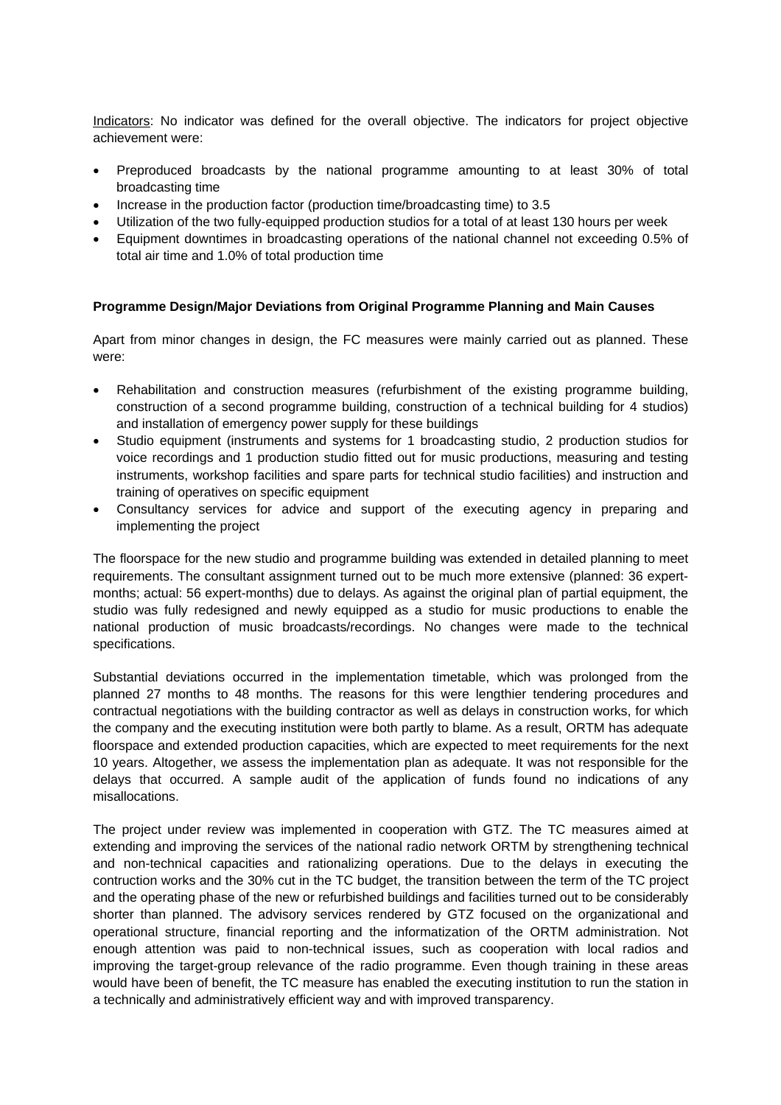Indicators: No indicator was defined for the overall objective. The indicators for project objective achievement were:

- Preproduced broadcasts by the national programme amounting to at least 30% of total broadcasting time
- Increase in the production factor (production time/broadcasting time) to 3.5
- Utilization of the two fully-equipped production studios for a total of at least 130 hours per week
- Equipment downtimes in broadcasting operations of the national channel not exceeding 0.5% of total air time and 1.0% of total production time

#### **Programme Design/Major Deviations from Original Programme Planning and Main Causes**

Apart from minor changes in design, the FC measures were mainly carried out as planned. These were:

- Rehabilitation and construction measures (refurbishment of the existing programme building, construction of a second programme building, construction of a technical building for 4 studios) and installation of emergency power supply for these buildings
- Studio equipment (instruments and systems for 1 broadcasting studio, 2 production studios for voice recordings and 1 production studio fitted out for music productions, measuring and testing instruments, workshop facilities and spare parts for technical studio facilities) and instruction and training of operatives on specific equipment
- Consultancy services for advice and support of the executing agency in preparing and implementing the project

The floorspace for the new studio and programme building was extended in detailed planning to meet requirements. The consultant assignment turned out to be much more extensive (planned: 36 expertmonths; actual: 56 expert-months) due to delays. As against the original plan of partial equipment, the studio was fully redesigned and newly equipped as a studio for music productions to enable the national production of music broadcasts/recordings. No changes were made to the technical specifications.

Substantial deviations occurred in the implementation timetable, which was prolonged from the planned 27 months to 48 months. The reasons for this were lengthier tendering procedures and contractual negotiations with the building contractor as well as delays in construction works, for which the company and the executing institution were both partly to blame. As a result, ORTM has adequate floorspace and extended production capacities, which are expected to meet requirements for the next 10 years. Altogether, we assess the implementation plan as adequate. It was not responsible for the delays that occurred. A sample audit of the application of funds found no indications of any misallocations.

The project under review was implemented in cooperation with GTZ. The TC measures aimed at extending and improving the services of the national radio network ORTM by strengthening technical and non-technical capacities and rationalizing operations. Due to the delays in executing the contruction works and the 30% cut in the TC budget, the transition between the term of the TC project and the operating phase of the new or refurbished buildings and facilities turned out to be considerably shorter than planned. The advisory services rendered by GTZ focused on the organizational and operational structure, financial reporting and the informatization of the ORTM administration. Not enough attention was paid to non-technical issues, such as cooperation with local radios and improving the target-group relevance of the radio programme. Even though training in these areas would have been of benefit, the TC measure has enabled the executing institution to run the station in a technically and administratively efficient way and with improved transparency.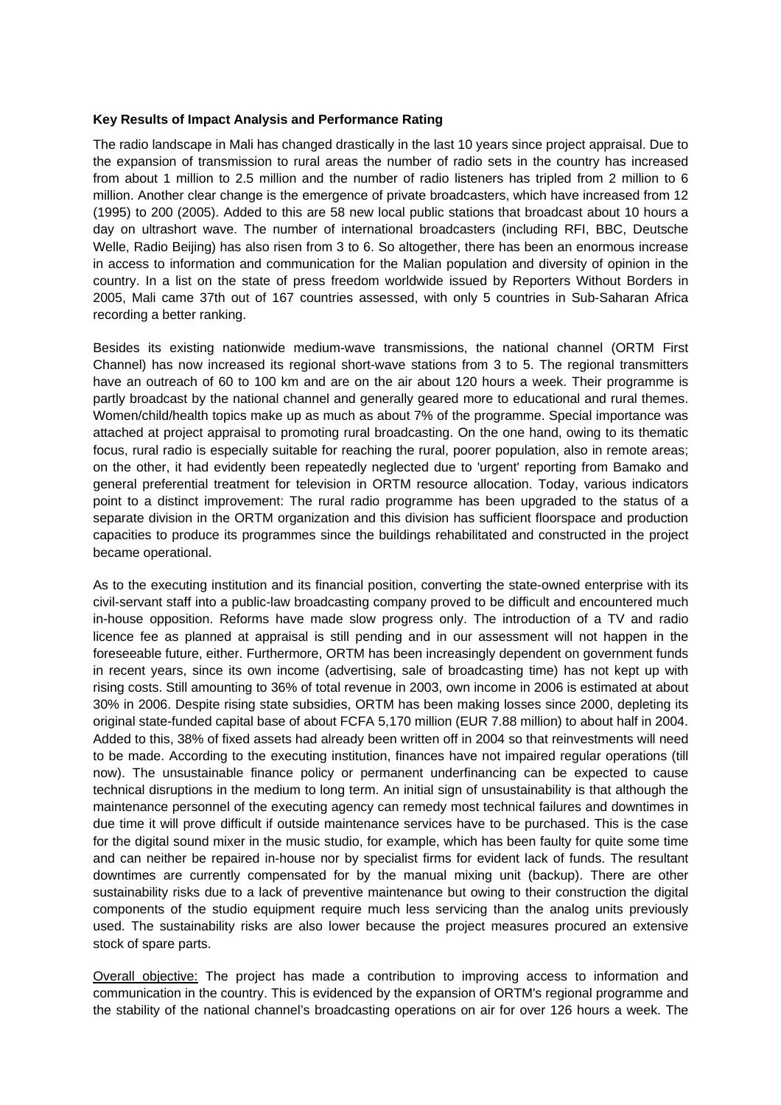### **Key Results of Impact Analysis and Performance Rating**

The radio landscape in Mali has changed drastically in the last 10 years since project appraisal. Due to the expansion of transmission to rural areas the number of radio sets in the country has increased from about 1 million to 2.5 million and the number of radio listeners has tripled from 2 million to 6 million. Another clear change is the emergence of private broadcasters, which have increased from 12 (1995) to 200 (2005). Added to this are 58 new local public stations that broadcast about 10 hours a day on ultrashort wave. The number of international broadcasters (including RFI, BBC, Deutsche Welle, Radio Beijing) has also risen from 3 to 6. So altogether, there has been an enormous increase in access to information and communication for the Malian population and diversity of opinion in the country. In a list on the state of press freedom worldwide issued by Reporters Without Borders in 2005, Mali came 37th out of 167 countries assessed, with only 5 countries in Sub-Saharan Africa recording a better ranking.

Besides its existing nationwide medium-wave transmissions, the national channel (ORTM First Channel) has now increased its regional short-wave stations from 3 to 5. The regional transmitters have an outreach of 60 to 100 km and are on the air about 120 hours a week. Their programme is partly broadcast by the national channel and generally geared more to educational and rural themes. Women/child/health topics make up as much as about 7% of the programme. Special importance was attached at project appraisal to promoting rural broadcasting. On the one hand, owing to its thematic focus, rural radio is especially suitable for reaching the rural, poorer population, also in remote areas; on the other, it had evidently been repeatedly neglected due to 'urgent' reporting from Bamako and general preferential treatment for television in ORTM resource allocation. Today, various indicators point to a distinct improvement: The rural radio programme has been upgraded to the status of a separate division in the ORTM organization and this division has sufficient floorspace and production capacities to produce its programmes since the buildings rehabilitated and constructed in the project became operational.

As to the executing institution and its financial position, converting the state-owned enterprise with its civil-servant staff into a public-law broadcasting company proved to be difficult and encountered much in-house opposition. Reforms have made slow progress only. The introduction of a TV and radio licence fee as planned at appraisal is still pending and in our assessment will not happen in the foreseeable future, either. Furthermore, ORTM has been increasingly dependent on government funds in recent years, since its own income (advertising, sale of broadcasting time) has not kept up with rising costs. Still amounting to 36% of total revenue in 2003, own income in 2006 is estimated at about 30% in 2006. Despite rising state subsidies, ORTM has been making losses since 2000, depleting its original state-funded capital base of about FCFA 5,170 million (EUR 7.88 million) to about half in 2004. Added to this, 38% of fixed assets had already been written off in 2004 so that reinvestments will need to be made. According to the executing institution, finances have not impaired regular operations (till now). The unsustainable finance policy or permanent underfinancing can be expected to cause technical disruptions in the medium to long term. An initial sign of unsustainability is that although the maintenance personnel of the executing agency can remedy most technical failures and downtimes in due time it will prove difficult if outside maintenance services have to be purchased. This is the case for the digital sound mixer in the music studio, for example, which has been faulty for quite some time and can neither be repaired in-house nor by specialist firms for evident lack of funds. The resultant downtimes are currently compensated for by the manual mixing unit (backup). There are other sustainability risks due to a lack of preventive maintenance but owing to their construction the digital components of the studio equipment require much less servicing than the analog units previously used. The sustainability risks are also lower because the project measures procured an extensive stock of spare parts.

Overall objective: The project has made a contribution to improving access to information and communication in the country. This is evidenced by the expansion of ORTM's regional programme and the stability of the national channel's broadcasting operations on air for over 126 hours a week. The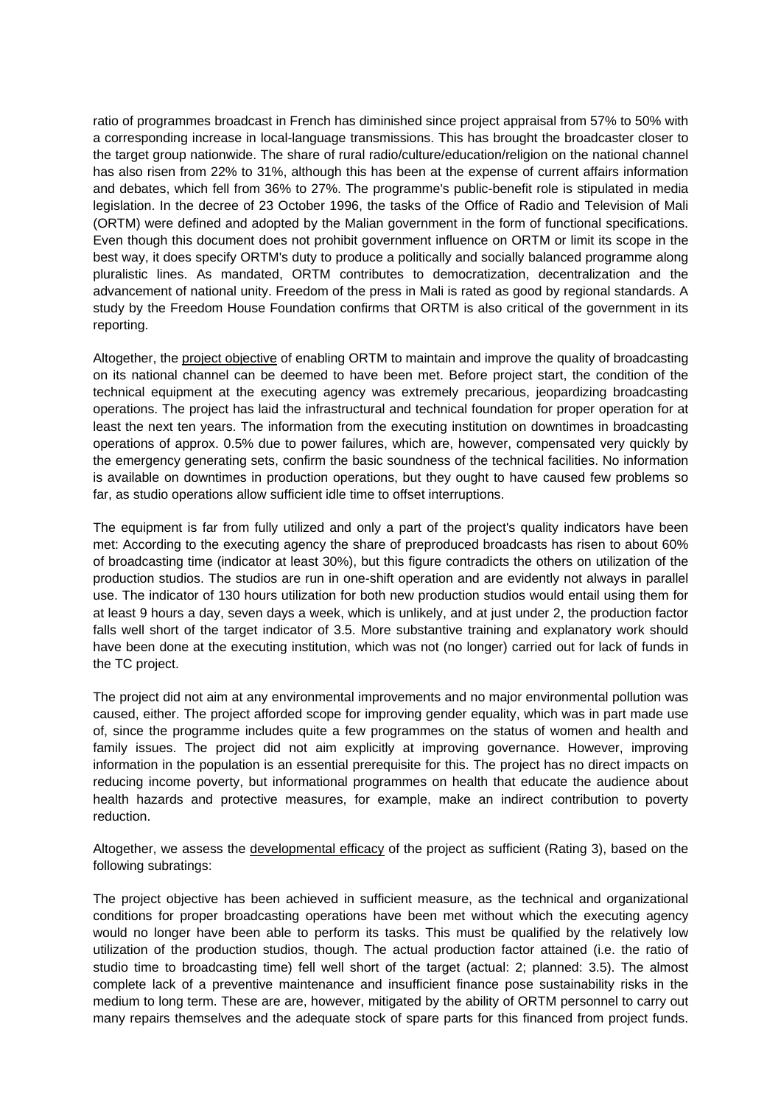ratio of programmes broadcast in French has diminished since project appraisal from 57% to 50% with a corresponding increase in local-language transmissions. This has brought the broadcaster closer to the target group nationwide. The share of rural radio/culture/education/religion on the national channel has also risen from 22% to 31%, although this has been at the expense of current affairs information and debates, which fell from 36% to 27%. The programme's public-benefit role is stipulated in media legislation. In the decree of 23 October 1996, the tasks of the Office of Radio and Television of Mali (ORTM) were defined and adopted by the Malian government in the form of functional specifications. Even though this document does not prohibit government influence on ORTM or limit its scope in the best way, it does specify ORTM's duty to produce a politically and socially balanced programme along pluralistic lines. As mandated, ORTM contributes to democratization, decentralization and the advancement of national unity. Freedom of the press in Mali is rated as good by regional standards. A study by the Freedom House Foundation confirms that ORTM is also critical of the government in its reporting.

Altogether, the project objective of enabling ORTM to maintain and improve the quality of broadcasting on its national channel can be deemed to have been met. Before project start, the condition of the technical equipment at the executing agency was extremely precarious, jeopardizing broadcasting operations. The project has laid the infrastructural and technical foundation for proper operation for at least the next ten years. The information from the executing institution on downtimes in broadcasting operations of approx. 0.5% due to power failures, which are, however, compensated very quickly by the emergency generating sets, confirm the basic soundness of the technical facilities. No information is available on downtimes in production operations, but they ought to have caused few problems so far, as studio operations allow sufficient idle time to offset interruptions.

The equipment is far from fully utilized and only a part of the project's quality indicators have been met: According to the executing agency the share of preproduced broadcasts has risen to about 60% of broadcasting time (indicator at least 30%), but this figure contradicts the others on utilization of the production studios. The studios are run in one-shift operation and are evidently not always in parallel use. The indicator of 130 hours utilization for both new production studios would entail using them for at least 9 hours a day, seven days a week, which is unlikely, and at just under 2, the production factor falls well short of the target indicator of 3.5. More substantive training and explanatory work should have been done at the executing institution, which was not (no longer) carried out for lack of funds in the TC project.

The project did not aim at any environmental improvements and no major environmental pollution was caused, either. The project afforded scope for improving gender equality, which was in part made use of, since the programme includes quite a few programmes on the status of women and health and family issues. The project did not aim explicitly at improving governance. However, improving information in the population is an essential prerequisite for this. The project has no direct impacts on reducing income poverty, but informational programmes on health that educate the audience about health hazards and protective measures, for example, make an indirect contribution to poverty reduction.

Altogether, we assess the developmental efficacy of the project as sufficient (Rating 3), based on the following subratings:

The project objective has been achieved in sufficient measure, as the technical and organizational conditions for proper broadcasting operations have been met without which the executing agency would no longer have been able to perform its tasks. This must be qualified by the relatively low utilization of the production studios, though. The actual production factor attained (i.e. the ratio of studio time to broadcasting time) fell well short of the target (actual: 2; planned: 3.5). The almost complete lack of a preventive maintenance and insufficient finance pose sustainability risks in the medium to long term. These are are, however, mitigated by the ability of ORTM personnel to carry out many repairs themselves and the adequate stock of spare parts for this financed from project funds.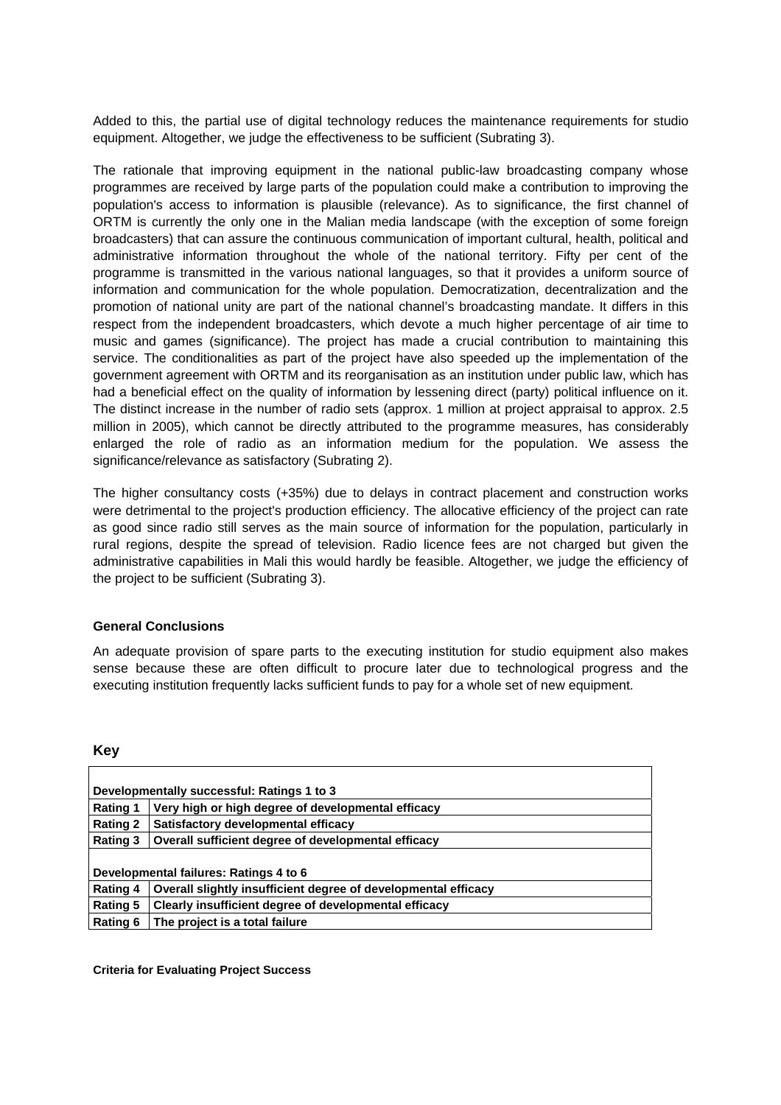Added to this, the partial use of digital technology reduces the maintenance requirements for studio equipment. Altogether, we judge the effectiveness to be sufficient (Subrating 3).

The rationale that improving equipment in the national public-law broadcasting company whose programmes are received by large parts of the population could make a contribution to improving the population's access to information is plausible (relevance). As to significance, the first channel of ORTM is currently the only one in the Malian media landscape (with the exception of some foreign broadcasters) that can assure the continuous communication of important cultural, health, political and administrative information throughout the whole of the national territory. Fifty per cent of the programme is transmitted in the various national languages, so that it provides a uniform source of information and communication for the whole population. Democratization, decentralization and the promotion of national unity are part of the national channel's broadcasting mandate. It differs in this respect from the independent broadcasters, which devote a much higher percentage of air time to music and games (significance). The project has made a crucial contribution to maintaining this service. The conditionalities as part of the project have also speeded up the implementation of the government agreement with ORTM and its reorganisation as an institution under public law, which has had a beneficial effect on the quality of information by lessening direct (party) political influence on it. The distinct increase in the number of radio sets (approx. 1 million at project appraisal to approx. 2.5 million in 2005), which cannot be directly attributed to the programme measures, has considerably enlarged the role of radio as an information medium for the population. We assess the significance/relevance as satisfactory (Subrating 2).

The higher consultancy costs (+35%) due to delays in contract placement and construction works were detrimental to the project's production efficiency. The allocative efficiency of the project can rate as good since radio still serves as the main source of information for the population, particularly in rural regions, despite the spread of television. Radio licence fees are not charged but given the administrative capabilities in Mali this would hardly be feasible. Altogether, we judge the efficiency of the project to be sufficient (Subrating 3).

## **General Conclusions**

An adequate provision of spare parts to the executing institution for studio equipment also makes sense because these are often difficult to procure later due to technological progress and the executing institution frequently lacks sufficient funds to pay for a whole set of new equipment.

## **Key**

| Developmentally successful: Ratings 1 to 3 |                                                                |  |
|--------------------------------------------|----------------------------------------------------------------|--|
| <b>Rating 1</b>                            | Very high or high degree of developmental efficacy             |  |
| <b>Rating 2</b>                            | Satisfactory developmental efficacy                            |  |
| <b>Rating 3</b>                            | Overall sufficient degree of developmental efficacy            |  |
|                                            |                                                                |  |
| Developmental failures: Ratings 4 to 6     |                                                                |  |
| <b>Rating 4</b>                            | Overall slightly insufficient degree of developmental efficacy |  |
| <b>Rating 5</b>                            | Clearly insufficient degree of developmental efficacy          |  |
| <b>Rating 6</b>                            | The project is a total failure                                 |  |

**Criteria for Evaluating Project Success**